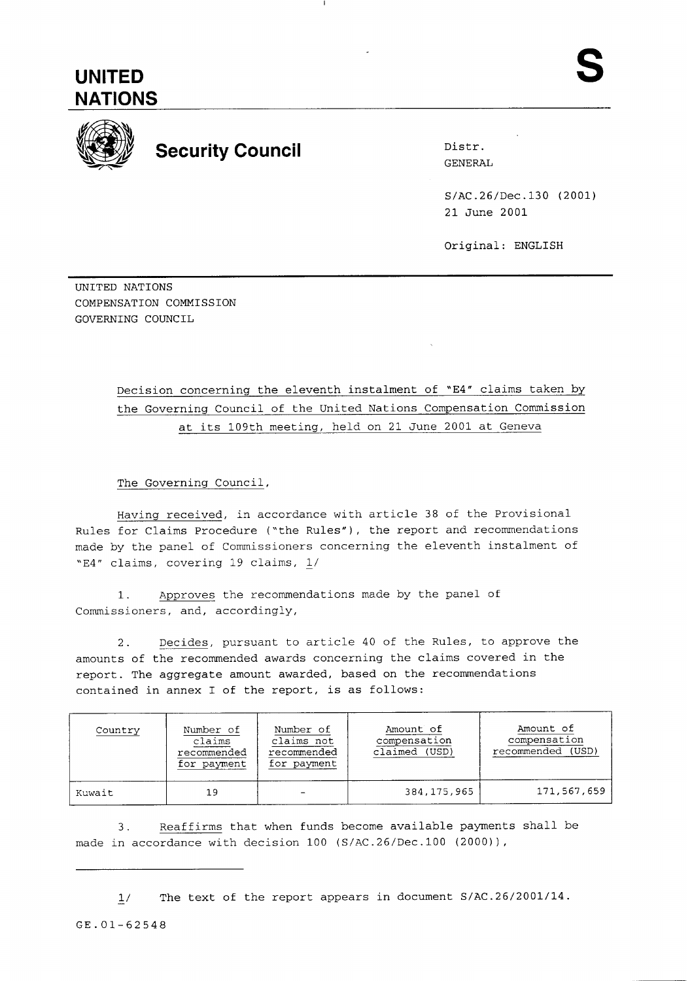

--

## **Security Council** Distr.

GENERAL

S/AC.26/Dec.130 (2001) 21 June 2001

Original: ENGLISH

UNITED NATIONS COMPENSATION COMMISSION GOVERNING COUNCIL

## Decision concerning the eleventh instalment of "E4" claims taken by the Governing Council of the United Nations Compensation Commission at its 109th meeting, held on 21 June 2001 at Geneva

The Governing Council,

Having received, in accordance with article 38 of the Provisional Rules for Claims Procedure ("the Rules"), the report and recommendations made by the panel of Commissioners concerning the eleventh instalment of "E4" claims, covering 19 claims, L/

1. Approves the recommendations made by the panel of Commissioners, and, accordingly,

2. Decides, pursuant to article 40 of the Rules, to approve the amounts of the recommended awards concerning the claims covered in the report. The aggregate amount awarded, based on the recommendations contained in annex I of the report, is as follows:

| Country | Number of<br>claims<br>recommended<br>for payment | Number of<br>claims not<br>recommended<br>for payment | Amount of<br>compensation<br>claimed (USD) | Amount of<br>compensation<br>recommended<br>(USD) |
|---------|---------------------------------------------------|-------------------------------------------------------|--------------------------------------------|---------------------------------------------------|
| Kuwait  | 19                                                |                                                       | 384, 175, 965                              | 171,567,659                                       |

3. Reaffirms that when funds become available payments shall be made in accordance with decision 100 (S/AC.26/Dec.100 (2000) ),

1/ The text of the report appears in document S/AC.26/2001/14.